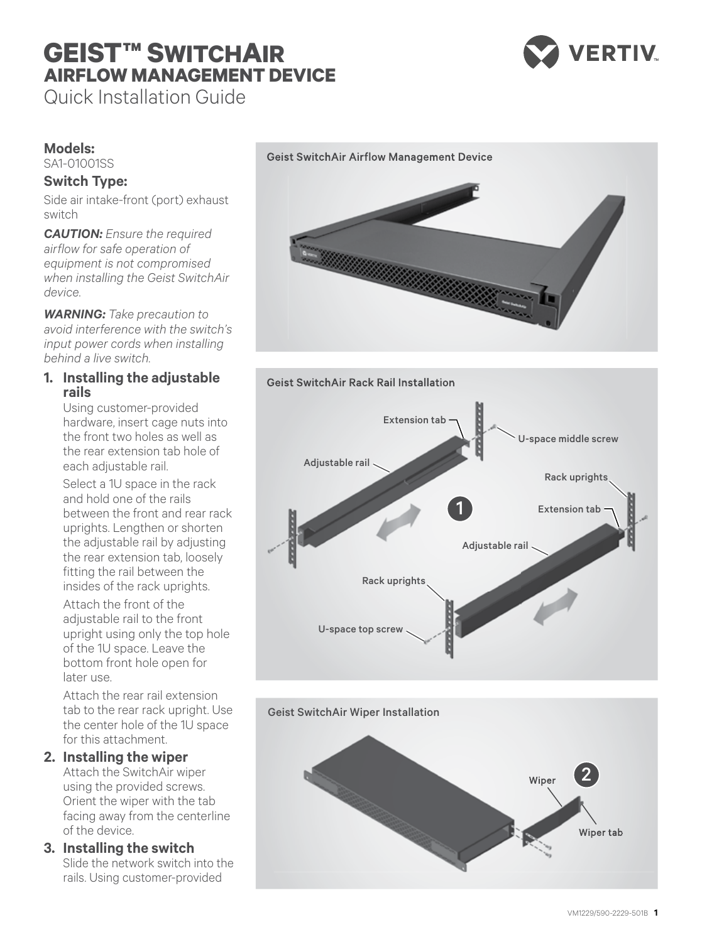# **GEIST™ SWITCHAIR AIRFLOW MANAGEMENT DEVICE**



Quick Installation Guide

# **Models:**

SA1-01001SS

# **Switch Type:**

Side air intake-front (port) exhaust switch

*CAUTION: Ensure the required airflow for safe operation of equipment is not compromised when installing the Geist SwitchAir device.*

*WARNING: Take precaution to avoid interference with the switch's input power cords when installing behind a live switch.*

## **1. Installing the adjustable rails**

Using customer-provided hardware, insert cage nuts into the front two holes as well as the rear extension tab hole of each adjustable rail.

Select a 1U space in the rack and hold one of the rails between the front and rear rack uprights. Lengthen or shorten the adjustable rail by adjusting the rear extension tab, loosely fitting the rail between the insides of the rack uprights.

Attach the front of the adjustable rail to the front upright using only the top hole of the 1U space. Leave the bottom front hole open for later use.

Attach the rear rail extension tab to the rear rack upright. Use the center hole of the 1U space for this attachment.

## **2. Installing the wiper**

Attach the SwitchAir wiper using the provided screws. Orient the wiper with the tab facing away from the centerline of the device.

## **3. Installing the switch**

Slide the network switch into the rails. Using customer-provided

#### Geist SwitchAir Airflow Management Device





Geist SwitchAir Wiper Installation